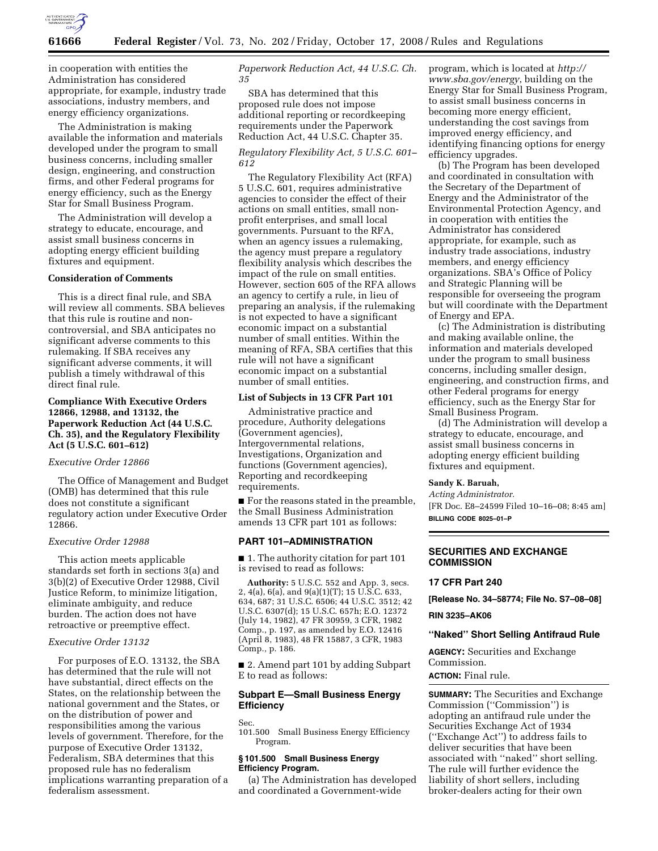

in cooperation with entities the Administration has considered appropriate, for example, industry trade associations, industry members, and energy efficiency organizations.

The Administration is making available the information and materials developed under the program to small business concerns, including smaller design, engineering, and construction firms, and other Federal programs for energy efficiency, such as the Energy Star for Small Business Program.

The Administration will develop a strategy to educate, encourage, and assist small business concerns in adopting energy efficient building fixtures and equipment.

# **Consideration of Comments**

This is a direct final rule, and SBA will review all comments. SBA believes that this rule is routine and noncontroversial, and SBA anticipates no significant adverse comments to this rulemaking. If SBA receives any significant adverse comments, it will publish a timely withdrawal of this direct final rule.

# **Compliance With Executive Orders 12866, 12988, and 13132, the Paperwork Reduction Act (44 U.S.C. Ch. 35), and the Regulatory Flexibility Act (5 U.S.C. 601–612)**

## *Executive Order 12866*

The Office of Management and Budget (OMB) has determined that this rule does not constitute a significant regulatory action under Executive Order 12866.

### *Executive Order 12988*

This action meets applicable standards set forth in sections 3(a) and 3(b)(2) of Executive Order 12988, Civil Justice Reform, to minimize litigation, eliminate ambiguity, and reduce burden. The action does not have retroactive or preemptive effect.

## *Executive Order 13132*

For purposes of E.O. 13132, the SBA has determined that the rule will not have substantial, direct effects on the States, on the relationship between the national government and the States, or on the distribution of power and responsibilities among the various levels of government. Therefore, for the purpose of Executive Order 13132, Federalism, SBA determines that this proposed rule has no federalism implications warranting preparation of a federalism assessment.

*Paperwork Reduction Act, 44 U.S.C. Ch. 35* 

SBA has determined that this proposed rule does not impose additional reporting or recordkeeping requirements under the Paperwork Reduction Act, 44 U.S.C. Chapter 35.

# *Regulatory Flexibility Act, 5 U.S.C. 601– 612*

The Regulatory Flexibility Act (RFA) 5 U.S.C. 601, requires administrative agencies to consider the effect of their actions on small entities, small nonprofit enterprises, and small local governments. Pursuant to the RFA, when an agency issues a rulemaking, the agency must prepare a regulatory flexibility analysis which describes the impact of the rule on small entities. However, section 605 of the RFA allows an agency to certify a rule, in lieu of preparing an analysis, if the rulemaking is not expected to have a significant economic impact on a substantial number of small entities. Within the meaning of RFA, SBA certifies that this rule will not have a significant economic impact on a substantial number of small entities.

## **List of Subjects in 13 CFR Part 101**

Administrative practice and procedure, Authority delegations (Government agencies), Intergovernmental relations, Investigations, Organization and functions (Government agencies), Reporting and recordkeeping requirements.

■ For the reasons stated in the preamble, the Small Business Administration amends 13 CFR part 101 as follows:

#### **PART 101–ADMINISTRATION**

■ 1. The authority citation for part 101 is revised to read as follows:

**Authority:** 5 U.S.C. 552 and App. 3, secs. 2, 4(a), 6(a), and 9(a)(1)(T); 15 U.S.C. 633, 634, 687; 31 U.S.C. 6506; 44 U.S.C. 3512; 42 U.S.C. 6307(d); 15 U.S.C. 657h; E.O. 12372 (July 14, 1982), 47 FR 30959, 3 CFR, 1982 Comp., p. 197, as amended by E.O. 12416 (April 8, 1983), 48 FR 15887, 3 CFR, 1983 Comp., p. 186.

■ 2. Amend part 101 by adding Subpart E to read as follows:

## **Subpart E—Small Business Energy Efficiency**

Sec.

101.500 Small Business Energy Efficiency Program.

## **§ 101.500 Small Business Energy Efficiency Program.**

(a) The Administration has developed and coordinated a Government-wide

program, which is located at *http:// www.sba.gov/energy*, building on the Energy Star for Small Business Program, to assist small business concerns in becoming more energy efficient, understanding the cost savings from improved energy efficiency, and identifying financing options for energy efficiency upgrades.

(b) The Program has been developed and coordinated in consultation with the Secretary of the Department of Energy and the Administrator of the Environmental Protection Agency, and in cooperation with entities the Administrator has considered appropriate, for example, such as industry trade associations, industry members, and energy efficiency organizations. SBA's Office of Policy and Strategic Planning will be responsible for overseeing the program but will coordinate with the Department of Energy and EPA.

(c) The Administration is distributing and making available online, the information and materials developed under the program to small business concerns, including smaller design, engineering, and construction firms, and other Federal programs for energy efficiency, such as the Energy Star for Small Business Program.

(d) The Administration will develop a strategy to educate, encourage, and assist small business concerns in adopting energy efficient building fixtures and equipment.

## **Sandy K. Baruah,**

*Acting Administrator.*  [FR Doc. E8–24599 Filed 10–16–08; 8:45 am] **BILLING CODE 8025–01–P** 

## **SECURITIES AND EXCHANGE COMMISSION**

### **17 CFR Part 240**

**[Release No. 34–58774; File No. S7–08–08]** 

#### **RIN 3235–AK06**

#### **''Naked'' Short Selling Antifraud Rule**

**AGENCY:** Securities and Exchange Commission.

**ACTION:** Final rule.

**SUMMARY:** The Securities and Exchange Commission (''Commission'') is adopting an antifraud rule under the Securities Exchange Act of 1934 (''Exchange Act'') to address fails to deliver securities that have been associated with ''naked'' short selling. The rule will further evidence the liability of short sellers, including broker-dealers acting for their own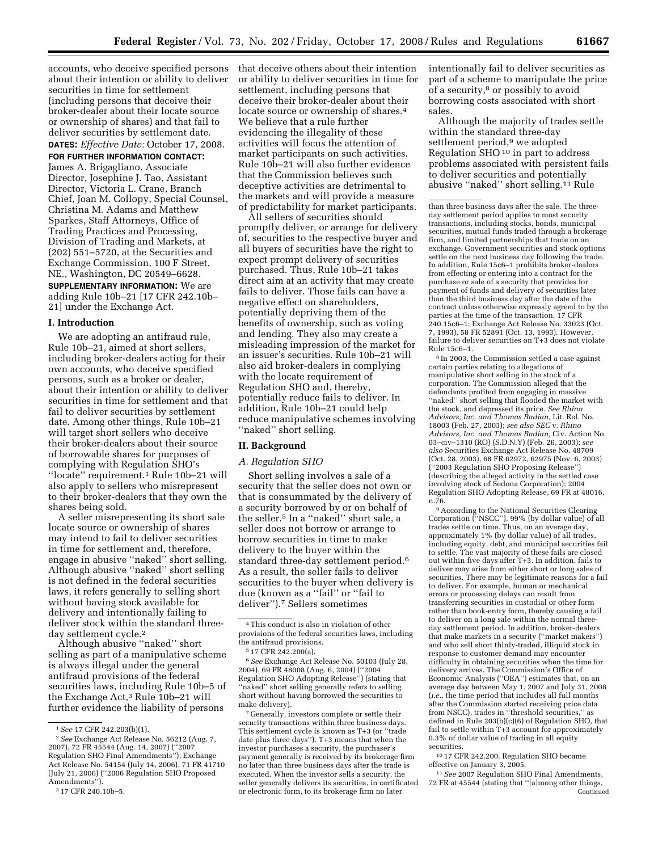accounts, who deceive specified persons about their intention or ability to deliver securities in time for settlement (including persons that deceive their broker-dealer about their locate source or ownership of shares) and that fail to deliver securities by settlement date.

## **DATES:** *Effective Date:* October 17, 2008. **FOR FURTHER INFORMATION CONTACT:**

James A. Brigagliano, Associate Director, Josephine J. Tao, Assistant Director, Victoria L. Crane, Branch Chief, Joan M. Collopy, Special Counsel, Christina M. Adams and Matthew Sparkes, Staff Attorneys, Office of Trading Practices and Processing, Division of Trading and Markets, at (202) 551–5720, at the Securities and Exchange Commission, 100 F Street, NE., Washington, DC 20549–6628.

**SUPPLEMENTARY INFORMATION:** We are adding Rule 10b–21 [17 CFR 242.10b– 21] under the Exchange Act.

## **I. Introduction**

We are adopting an antifraud rule, Rule 10b–21, aimed at short sellers, including broker-dealers acting for their own accounts, who deceive specified persons, such as a broker or dealer, about their intention or ability to deliver securities in time for settlement and that fail to deliver securities by settlement date. Among other things, Rule 10b–21 will target short sellers who deceive their broker-dealers about their source of borrowable shares for purposes of complying with Regulation SHO's ''locate'' requirement.1 Rule 10b–21 will also apply to sellers who misrepresent to their broker-dealers that they own the shares being sold.

A seller misrepresenting its short sale locate source or ownership of shares may intend to fail to deliver securities in time for settlement and, therefore, engage in abusive ''naked'' short selling. Although abusive ''naked'' short selling is not defined in the federal securities laws, it refers generally to selling short without having stock available for delivery and intentionally failing to deliver stock within the standard threeday settlement cycle.2

Although abusive ''naked'' short selling as part of a manipulative scheme is always illegal under the general antifraud provisions of the federal securities laws, including Rule 10b–5 of the Exchange Act,3 Rule 10b–21 will further evidence the liability of persons

that deceive others about their intention or ability to deliver securities in time for settlement, including persons that deceive their broker-dealer about their locate source or ownership of shares.4 We believe that a rule further evidencing the illegality of these activities will focus the attention of market participants on such activities. Rule 10b–21 will also further evidence that the Commission believes such deceptive activities are detrimental to the markets and will provide a measure of predictability for market participants.

All sellers of securities should promptly deliver, or arrange for delivery of, securities to the respective buyer and all buyers of securities have the right to expect prompt delivery of securities purchased. Thus, Rule 10b–21 takes direct aim at an activity that may create fails to deliver. Those fails can have a negative effect on shareholders, potentially depriving them of the benefits of ownership, such as voting and lending. They also may create a misleading impression of the market for an issuer's securities. Rule 10b–21 will also aid broker-dealers in complying with the locate requirement of Regulation SHO and, thereby, potentially reduce fails to deliver. In addition, Rule 10b–21 could help reduce manipulative schemes involving ''naked'' short selling.

#### **II. Background**

## *A. Regulation SHO*

Short selling involves a sale of a security that the seller does not own or that is consummated by the delivery of a security borrowed by or on behalf of the seller.5 In a ''naked'' short sale, a seller does not borrow or arrange to borrow securities in time to make delivery to the buyer within the standard three-day settlement period.6 As a result, the seller fails to deliver securities to the buyer when delivery is due (known as a ''fail'' or ''fail to deliver'').7 Sellers sometimes

6*See* Exchange Act Release No. 50103 (July 28, 2004), 69 FR 48008 (Aug. 6, 2004) (''2004 Regulation SHO Adopting Release'') (stating that "naked" short selling generally refers to selling short without having borrowed the securities to make delivery).

7 Generally, investors complete or settle their security transactions within three business days. This settlement cycle is known as T+3 (or ''trade date plus three days''). T+3 means that when the investor purchases a security, the purchaser's payment generally is received by its brokerage firm no later than three business days after the trade is executed. When the investor sells a security, the seller generally delivers its securities, in certificated or electronic form, to its brokerage firm no later

intentionally fail to deliver securities as part of a scheme to manipulate the price of a security,<sup>8</sup> or possibly to avoid borrowing costs associated with short sales.

Although the majority of trades settle within the standard three-day settlement period,<sup>9</sup> we adopted Regulation SHO 10 in part to address problems associated with persistent fails to deliver securities and potentially abusive ''naked'' short selling.11 Rule

<sup>8</sup> In 2003, the Commission settled a case against certain parties relating to allegations of manipulative short selling in the stock of a corporation. The Commission alleged that the defendants profited from engaging in massive ''naked'' short selling that flooded the market with the stock, and depressed its price. *See Rhino Advisors, Inc. and Thomas Badian,* Lit. Rel. No. 18003 (Feb. 27, 2003); *see also SEC* v. *Rhino Advisors, Inc. and Thomas Badian,* Civ. Action No. 03–civ–1310 (RO) (S.D.N.Y) (Feb. 26, 2003); *see also* Securities Exchange Act Release No. 48709 (Oct. 28, 2003), 68 FR 62972, 62975 (Nov. 6, 2003) (''2003 Regulation SHO Proposing Release'') (describing the alleged activity in the settled case involving stock of Sedona Corporation); 2004 Regulation SHO Adopting Release, 69 FR at 48016, n.76.<br><sup>9</sup> According to the National Securities Clearing

Corporation (''NSCC''), 99% (by dollar value) of all trades settle on time. Thus, on an average day, approximately 1% (by dollar value) of all trades, including equity, debt, and municipal securities fail to settle. The vast majority of these fails are closed out within five days after T+3. In addition, fails to deliver may arise from either short or long sales of securities. There may be legitimate reasons for a fail to deliver. For example, human or mechanical errors or processing delays can result from transferring securities in custodial or other form rather than book-entry form, thereby causing a fail to deliver on a long sale within the normal threeday settlement period. In addition, broker-dealers that make markets in a security (''market makers'') and who sell short thinly-traded, illiquid stock in response to customer demand may encounter difficulty in obtaining securities when the time for delivery arrives. The Commission's Office of Economic Analysis (''OEA'') estimates that, on an average day between May 1, 2007 and July 31, 2008 (*i.e.*, the time period that includes all full months after the Commission started receiving price data from NSCC), trades in ''threshold securities,'' as defined in Rule 203(b)(c)(6) of Regulation SHO, that fail to settle within T+3 account for approximately 0.3% of dollar value of trading in all equity securities.

10 17 CFR 242.200. Regulation SHO became effective on January 3, 2005.

11*See* 2007 Regulation SHO Final Amendments, 72 FR at 45544 (stating that ''[a]mong other things, Continued

<sup>1</sup>*See* 17 CFR 242.203(b)(1).

<sup>2</sup>*See* Exchange Act Release No. 56212 (Aug. 7, 2007), 72 FR 45544 (Aug. 14, 2007) (''2007 Regulation SHO Final Amendments''); Exchange Act Release No. 54154 (July 14, 2006), 71 FR 41710 (July 21, 2006) (''2006 Regulation SHO Proposed Amendments'').

<sup>3</sup> 17 CFR 240.10b–5.

<sup>4</sup>This conduct is also in violation of other provisions of the federal securities laws, including the antifraud provisions.

<sup>5</sup> 17 CFR 242.200(a).

than three business days after the sale. The threeday settlement period applies to most security transactions, including stocks, bonds, municipal securities, mutual funds traded through a brokerage firm, and limited partnerships that trade on an exchange. Government securities and stock options settle on the next business day following the trade. In addition, Rule 15c6–1 prohibits broker-dealers from effecting or entering into a contract for the purchase or sale of a security that provides for payment of funds and delivery of securities later than the third business day after the date of the contract unless otherwise expressly agreed to by the parties at the time of the transaction. 17 CFR 240.15c6–1; Exchange Act Release No. 33023 (Oct. 7, 1993), 58 FR 52891 (Oct. 13, 1993). However, failure to deliver securities on T+3 does not violate<br>Rule 15c6–1.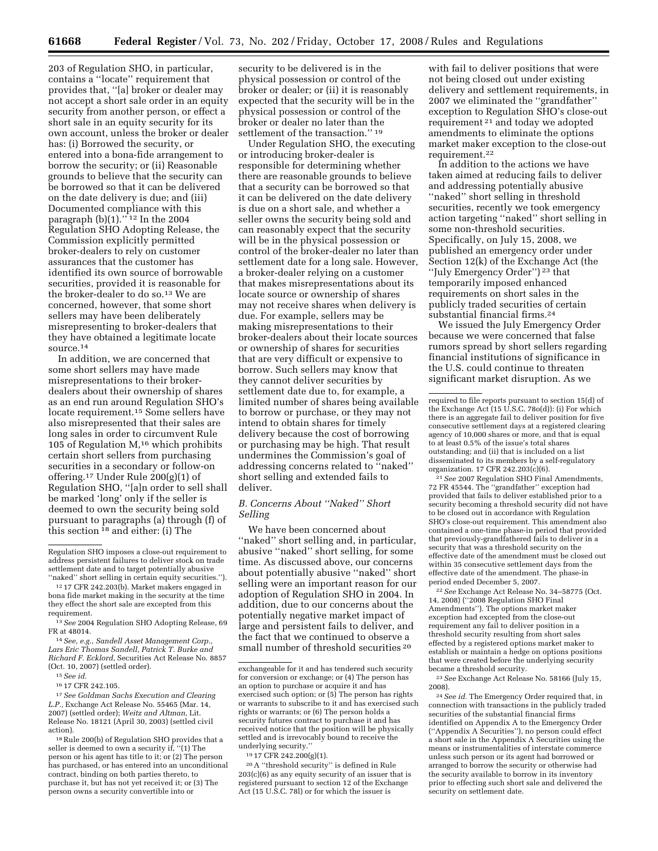203 of Regulation SHO, in particular, contains a ''locate'' requirement that provides that, ''[a] broker or dealer may not accept a short sale order in an equity security from another person, or effect a short sale in an equity security for its own account, unless the broker or dealer has: (i) Borrowed the security, or entered into a bona-fide arrangement to borrow the security; or (ii) Reasonable grounds to believe that the security can be borrowed so that it can be delivered on the date delivery is due; and (iii) Documented compliance with this paragraph  $(b)(1)$ ."<sup>12</sup> In the 2004 Regulation SHO Adopting Release, the Commission explicitly permitted broker-dealers to rely on customer assurances that the customer has identified its own source of borrowable securities, provided it is reasonable for the broker-dealer to do so.<sup>13</sup> We are concerned, however, that some short sellers may have been deliberately misrepresenting to broker-dealers that they have obtained a legitimate locate source.14

In addition, we are concerned that some short sellers may have made misrepresentations to their brokerdealers about their ownership of shares as an end run around Regulation SHO's locate requirement.15 Some sellers have also misrepresented that their sales are long sales in order to circumvent Rule 105 of Regulation  $M<sub>16</sub>$  which prohibits certain short sellers from purchasing securities in a secondary or follow-on offering.17 Under Rule 200(g)(1) of Regulation SHO, ''[a]n order to sell shall be marked 'long' only if the seller is deemed to own the security being sold pursuant to paragraphs (a) through (f) of this section  $^{18}$  and either: (i) The

18Rule 200(b) of Regulation SHO provides that a seller is deemed to own a security if, ''(1) The person or his agent has title to it; or (2) The person has purchased, or has entered into an unconditional contract, binding on both parties thereto, to purchase it, but has not yet received it; or (3) The person owns a security convertible into or

security to be delivered is in the physical possession or control of the broker or dealer; or (ii) it is reasonably expected that the security will be in the physical possession or control of the broker or dealer no later than the settlement of the transaction."<sup>19</sup>

Under Regulation SHO, the executing or introducing broker-dealer is responsible for determining whether there are reasonable grounds to believe that a security can be borrowed so that it can be delivered on the date delivery is due on a short sale, and whether a seller owns the security being sold and can reasonably expect that the security will be in the physical possession or control of the broker-dealer no later than settlement date for a long sale. However, a broker-dealer relying on a customer that makes misrepresentations about its locate source or ownership of shares may not receive shares when delivery is due. For example, sellers may be making misrepresentations to their broker-dealers about their locate sources or ownership of shares for securities that are very difficult or expensive to borrow. Such sellers may know that they cannot deliver securities by settlement date due to, for example, a limited number of shares being available to borrow or purchase, or they may not intend to obtain shares for timely delivery because the cost of borrowing or purchasing may be high. That result undermines the Commission's goal of addressing concerns related to ''naked'' short selling and extended fails to deliver.

# *B. Concerns About ''Naked'' Short Selling*

We have been concerned about "naked" short selling and, in particular, abusive ''naked'' short selling, for some time. As discussed above, our concerns about potentially abusive ''naked'' short selling were an important reason for our adoption of Regulation SHO in 2004. In addition, due to our concerns about the potentially negative market impact of large and persistent fails to deliver, and the fact that we continued to observe a small number of threshold securities 20

19 17 CFR 242.200(g)(1).

20A ''threshold security'' is defined in Rule 203(c)(6) as any equity security of an issuer that is registered pursuant to section 12 of the Exchange Act (15 U.S.C. 78l) or for which the issuer is

with fail to deliver positions that were not being closed out under existing delivery and settlement requirements, in 2007 we eliminated the ''grandfather'' exception to Regulation SHO's close-out requirement 21 and today we adopted amendments to eliminate the options market maker exception to the close-out requirement.22

In addition to the actions we have taken aimed at reducing fails to deliver and addressing potentially abusive ''naked'' short selling in threshold securities, recently we took emergency action targeting ''naked'' short selling in some non-threshold securities. Specifically, on July 15, 2008, we published an emergency order under Section 12(k) of the Exchange Act (the ''July Emergency Order'') 23 that temporarily imposed enhanced requirements on short sales in the publicly traded securities of certain substantial financial firms.24

We issued the July Emergency Order because we were concerned that false rumors spread by short sellers regarding financial institutions of significance in the U.S. could continue to threaten significant market disruption. As we

21*See* 2007 Regulation SHO Final Amendments, 72 FR 45544. The ''grandfather'' exception had provided that fails to deliver established prior to a security becoming a threshold security did not have to be closed out in accordance with Regulation SHO's close-out requirement. This amendment also contained a one-time phase-in period that provided that previously-grandfathered fails to deliver in a security that was a threshold security on the effective date of the amendment must be closed out within 35 consecutive settlement days from the effective date of the amendment. The phase-in period ended December 5, 2007.

22*See* Exchange Act Release No. 34–58775 (Oct. 14, 2008) (''2008 Regulation SHO Final Amendments''). The options market maker exception had excepted from the close-out requirement any fail to deliver position in a threshold security resulting from short sales effected by a registered options market maker to establish or maintain a hedge on options positions that were created before the underlying security became a threshold security.

23*See* Exchange Act Release No. 58166 (July 15, 2008).

24*See id.* The Emergency Order required that, in connection with transactions in the publicly traded securities of the substantial financial firms identified on Appendix A to the Emergency Order (''Appendix A Securities''), no person could effect a short sale in the Appendix A Securities using the means or instrumentalities of interstate commerce unless such person or its agent had borrowed or arranged to borrow the security or otherwise had the security available to borrow in its inventory prior to effecting such short sale and delivered the security on settlement date.

Regulation SHO imposes a close-out requirement to address persistent failures to deliver stock on trade settlement date and to target potentially abusive "naked" short selling in certain equity securities.").

<sup>12</sup> 17 CFR 242.203(b). Market makers engaged in bona fide market making in the security at the time they effect the short sale are excepted from this requirement.

<sup>13</sup>*See* 2004 Regulation SHO Adopting Release, 69 FR at 48014.

<sup>14</sup>*See, e.g.*, *Sandell Asset Management Corp., Lars Eric Thomas Sandell, Patrick T. Burke and Richard F. Ecklord*, Securities Act Release No. 8857 (Oct. 10, 2007) (settled order).

<sup>15</sup>*See id.* 

<sup>16</sup> 17 CFR 242.105.

<sup>17</sup>*See Goldman Sachs Execution and Clearing L.P.,* Exchange Act Release No. 55465 (Mar. 14, 2007) (settled order); *Weitz and Altman,* Lit. Release No. 18121 (April 30, 2003) (settled civil action).

exchangeable for it and has tendered such security for conversion or exchange; or (4) The person has an option to purchase or acquire it and has exercised such option; or (5) The person has rights or warrants to subscribe to it and has exercised such rights or warrants; or (6) The person holds a security futures contract to purchase it and has received notice that the position will be physically settled and is irrevocably bound to receive the underlying security.''

required to file reports pursuant to section 15(d) of the Exchange Act (15 U.S.C. 78o(d)): (i) For which there is an aggregate fail to deliver position for five consecutive settlement days at a registered clearing agency of 10,000 shares or more, and that is equal to at least 0.5% of the issue's total shares outstanding; and (ii) that is included on a list disseminated to its members by a self-regulatory organization. 17 CFR 242.203(c)(6).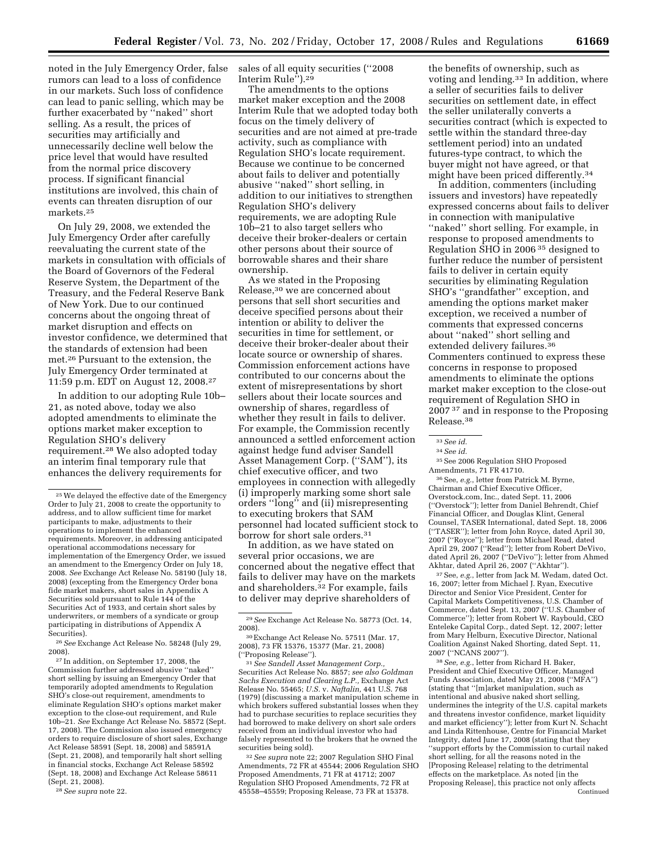noted in the July Emergency Order, false rumors can lead to a loss of confidence in our markets. Such loss of confidence can lead to panic selling, which may be further exacerbated by ''naked'' short selling. As a result, the prices of securities may artificially and unnecessarily decline well below the price level that would have resulted from the normal price discovery process. If significant financial institutions are involved, this chain of events can threaten disruption of our

markets.25

On July 29, 2008, we extended the July Emergency Order after carefully reevaluating the current state of the markets in consultation with officials of the Board of Governors of the Federal Reserve System, the Department of the Treasury, and the Federal Reserve Bank of New York. Due to our continued concerns about the ongoing threat of market disruption and effects on investor confidence, we determined that the standards of extension had been met.26 Pursuant to the extension, the July Emergency Order terminated at 11:59 p.m. EDT on August 12, 2008.27

In addition to our adopting Rule 10b– 21, as noted above, today we also adopted amendments to eliminate the options market maker exception to Regulation SHO's delivery requirement.28 We also adopted today an interim final temporary rule that enhances the delivery requirements for

26*See* Exchange Act Release No. 58248 (July 29, 2008).

27 In addition, on September 17, 2008, the Commission further addressed abusive ''naked'' short selling by issuing an Emergency Order that temporarily adopted amendments to Regulation SHO's close-out requirement, amendments to eliminate Regulation SHO's options market maker exception to the close-out requirement, and Rule 10b–21. *See* Exchange Act Release No. 58572 (Sept. 17, 2008). The Commission also issued emergency orders to require disclosure of short sales, Exchange Act Release 58591 (Sept. 18, 2008) and 58591A (Sept. 21, 2008), and temporarily halt short selling in financial stocks, Exchange Act Release 58592 (Sept. 18, 2008) and Exchange Act Release 58611 (Sept. 21, 2008).

28*See supra* note 22.

sales of all equity securities (''2008 Interim Rule").<sup>29</sup>

The amendments to the options market maker exception and the 2008 Interim Rule that we adopted today both focus on the timely delivery of securities and are not aimed at pre-trade activity, such as compliance with Regulation SHO's locate requirement. Because we continue to be concerned about fails to deliver and potentially abusive ''naked'' short selling, in addition to our initiatives to strengthen Regulation SHO's delivery requirements, we are adopting Rule 10b–21 to also target sellers who deceive their broker-dealers or certain other persons about their source of borrowable shares and their share ownership.

As we stated in the Proposing Release,30 we are concerned about persons that sell short securities and deceive specified persons about their intention or ability to deliver the securities in time for settlement, or deceive their broker-dealer about their locate source or ownership of shares. Commission enforcement actions have contributed to our concerns about the extent of misrepresentations by short sellers about their locate sources and ownership of shares, regardless of whether they result in fails to deliver. For example, the Commission recently announced a settled enforcement action against hedge fund adviser Sandell Asset Management Corp. (''SAM''), its chief executive officer, and two employees in connection with allegedly (i) improperly marking some short sale orders ''long'' and (ii) misrepresenting to executing brokers that SAM personnel had located sufficient stock to borrow for short sale orders.<sup>31</sup>

In addition, as we have stated on several prior occasions, we are concerned about the negative effect that fails to deliver may have on the markets and shareholders.<sup>32</sup> For example, fails to deliver may deprive shareholders of

<sup>31</sup> See Sandell Asset Management Corp., Securities Act Release No. 8857; *see also Goldman Sachs Execution and Clearing L.P.,* Exchange Act Release No. 55465; *U.S.* v. *Naftalin,* 441 U.S. 768 (1979) (discussing a market manipulation scheme in which brokers suffered substantial losses when they had to purchase securities to replace securities they had borrowed to make delivery on short sale orders received from an individual investor who had falsely represented to the brokers that he owned the securities being sold).

32*See supra* note 22; 2007 Regulation SHO Final Amendments, 72 FR at 45544; 2006 Regulation SHO Proposed Amendments, 71 FR at 41712; 2007 Regulation SHO Proposed Amendments, 72 FR at 45558–45559; Proposing Release, 73 FR at 15378.

the benefits of ownership, such as voting and lending.33 In addition, where a seller of securities fails to deliver securities on settlement date, in effect the seller unilaterally converts a securities contract (which is expected to settle within the standard three-day settlement period) into an undated futures-type contract, to which the buyer might not have agreed, or that might have been priced differently.34

In addition, commenters (including issuers and investors) have repeatedly expressed concerns about fails to deliver in connection with manipulative ''naked'' short selling. For example, in response to proposed amendments to Regulation SHO in 2006 35 designed to further reduce the number of persistent fails to deliver in certain equity securities by eliminating Regulation SHO's ''grandfather'' exception, and amending the options market maker exception, we received a number of comments that expressed concerns about ''naked'' short selling and extended delivery failures.<sup>36</sup> Commenters continued to express these concerns in response to proposed amendments to eliminate the options market maker exception to the close-out requirement of Regulation SHO in 2007 37 and in response to the Proposing Release.38

33*See id.* 

35See 2006 Regulation SHO Proposed Amendments, 71 FR 41710.

36See, *e.g.*, letter from Patrick M. Byrne, Chairman and Chief Executive Officer, Overstock.com, Inc., dated Sept. 11, 2006 (''Overstock''); letter from Daniel Behrendt, Chief Financial Officer, and Douglas Klint, General Counsel, TASER International, dated Sept. 18, 2006 (''TASER''); letter from John Royce, dated April 30, 2007 (''Royce''); letter from Michael Read, dated April 29, 2007 (''Read''); letter from Robert DeVivo, dated April 26, 2007 (''DeVivo''); letter from Ahmed Akhtar, dated April 26, 2007 (''Akhtar'').

37See, *e.g.*, letter from Jack M. Wedam, dated Oct. 16, 2007; letter from Michael J. Ryan, Executive Director and Senior Vice President, Center for Capital Markets Competitiveness, U.S. Chamber of Commerce, dated Sept. 13, 2007 (''U.S. Chamber of Commerce''); letter from Robert W. Raybould, CEO Enteleke Capital Corp., dated Sept. 12, 2007; letter from Mary Helburn, Executive Director, National Coalition Against Naked Shorting, dated Sept. 11, 2007 (''NCANS 2007'').

38*See, e.g.*, letter from Richard H. Baker, President and Chief Executive Officer, Managed Funds Association, dated May 21, 2008 (''MFA'') (stating that ''[m]arket manipulation, such as intentional and abusive naked short selling, undermines the integrity of the U.S. capital markets and threatens investor confidence, market liquidity and market efficiency''); letter from Kurt N. Schacht and Linda Rittenhouse, Centre for Financial Market Integrity, dated June 17, 2008 (stating that they ''support efforts by the Commission to curtail naked short selling, for all the reasons noted in the [Proposing Release] relating to the detrimental effects on the marketplace. As noted [in the Proposing Release], this practice not only affects Continued

<sup>25</sup>We delayed the effective date of the Emergency Order to July 21, 2008 to create the opportunity to address, and to allow sufficient time for market participants to make, adjustments to their operations to implement the enhanced requirements. Moreover, in addressing anticipated operational accommodations necessary for implementation of the Emergency Order, we issued an amendment to the Emergency Order on July 18, 2008. *See* Exchange Act Release No. 58190 (July 18, 2008) (excepting from the Emergency Order bona fide market makers, short sales in Appendix A Securities sold pursuant to Rule 144 of the Securities Act of 1933, and certain short sales by underwriters, or members of a syndicate or group participating in distributions of Appendix A Securities).

<sup>29</sup>*See* Exchange Act Release No. 58773 (Oct. 14,

<sup>2008). 30</sup>Exchange Act Release No. 57511 (Mar. 17, 2008), 73 FR 15376, 15377 (Mar. 21, 2008)

<sup>34</sup>*See id.*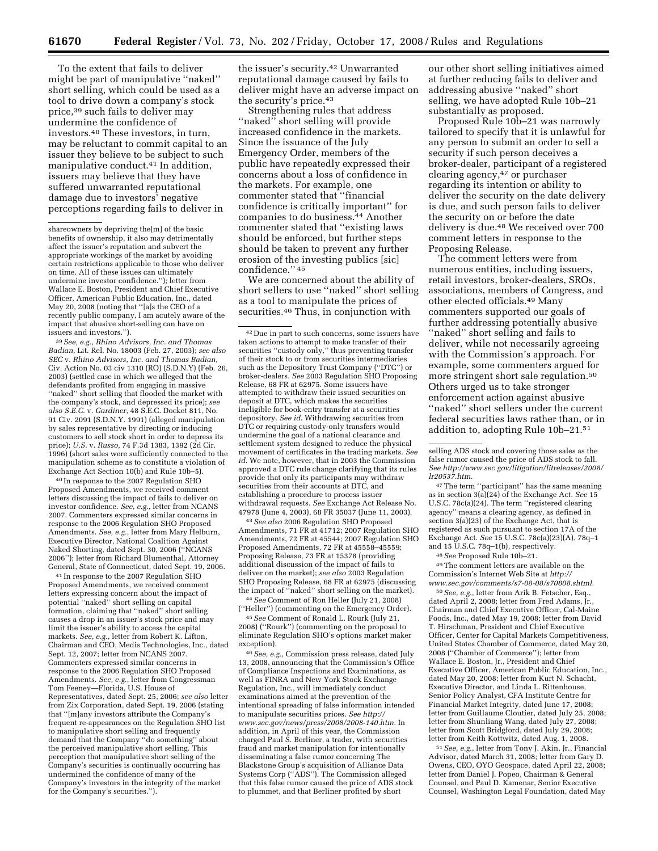To the extent that fails to deliver might be part of manipulative ''naked'' short selling, which could be used as a tool to drive down a company's stock price,39 such fails to deliver may undermine the confidence of investors.40 These investors, in turn, may be reluctant to commit capital to an issuer they believe to be subject to such manipulative conduct.41 In addition, issuers may believe that they have suffered unwarranted reputational damage due to investors' negative perceptions regarding fails to deliver in

39*See, e.g., Rhino Advisors, Inc. and Thomas Badian,* Lit. Rel. No. 18003 (Feb. 27, 2003); *see also SEC* v. *Rhino Advisors, Inc. and Thomas Badian,*  Civ. Action No. 03 civ 1310 (RO) (S.D.N.Y) (Feb. 26, 2003) (settled case in which we alleged that the defendants profited from engaging in massive "naked" short selling that flooded the market with the company's stock, and depressed its price); *see also S.E.C.* v. *Gardiner,* 48 S.E.C. Docket 811, No. 91 Civ. 2091 (S.D.N.Y. 1991) (alleged manipulation by sales representative by directing or inducing customers to sell stock short in order to depress its price); *U.S.* v. *Russo,* 74 F.3d 1383, 1392 (2d Cir. 1996) (short sales were sufficiently connected to the manipulation scheme as to constitute a violation of Exchange Act Section 10(b) and Rule 10b–5).

40 In response to the 2007 Regulation SHO Proposed Amendments, we received comment letters discussing the impact of fails to deliver on investor confidence. *See, e.g.*, letter from NCANS 2007. Commenters expressed similar concerns in response to the 2006 Regulation SHO Proposed Amendments. *See, e.g.*, letter from Mary Helburn, Executive Director, National Coalition Against Naked Shorting, dated Sept. 30, 2006 (''NCANS 2006''); letter from Richard Blumenthal, Attorney General, State of Connecticut, dated Sept. 19, 2006.

41 In response to the 2007 Regulation SHO Proposed Amendments, we received comment letters expressing concern about the impact of potential ''naked'' short selling on capital formation, claiming that ''naked'' short selling causes a drop in an issuer's stock price and may limit the issuer's ability to access the capital markets. *See, e.g.*, letter from Robert K. Lifton, Chairman and CEO, Medis Technologies, Inc., dated Sept. 12, 2007; letter from NCANS 2007. Commenters expressed similar concerns in response to the 2006 Regulation SHO Proposed Amendments. *See, e.g.*, letter from Congressman Tom Feeney—Florida, U.S. House of Representatives, dated Sept. 25, 2006; *see also* letter from Zix Corporation, dated Sept. 19, 2006 (stating that "[m]any investors attribute the Company frequent re-appearances on the Regulation SHO list to manipulative short selling and frequently demand that the Company ''do something'' about the perceived manipulative short selling. This perception that manipulative short selling of the Company's securities is continually occurring has undermined the confidence of many of the Company's investors in the integrity of the market for the Company's securities.'').

the issuer's security.42 Unwarranted reputational damage caused by fails to deliver might have an adverse impact on the security's price.43

Strengthening rules that address "naked" short selling will provide increased confidence in the markets. Since the issuance of the July Emergency Order, members of the public have repeatedly expressed their concerns about a loss of confidence in the markets. For example, one commenter stated that ''financial confidence is critically important'' for companies to do business.44 Another commenter stated that ''existing laws should be enforced, but further steps should be taken to prevent any further erosion of the investing publics [sic] confidence.'' 45

We are concerned about the ability of short sellers to use ''naked'' short selling as a tool to manipulate the prices of securities.46 Thus, in conjunction with

42 Due in part to such concerns, some issuers have taken actions to attempt to make transfer of their securities ''custody only,'' thus preventing transfer of their stock to or from securities intermediaries such as the Depository Trust Company (''DTC'') or broker-dealers. *See* 2003 Regulation SHO Proposing Release, 68 FR at 62975. Some issuers have attempted to withdraw their issued securities on deposit at DTC, which makes the securities ineligible for book-entry transfer at a securities depository. *See id*. Withdrawing securities from DTC or requiring custody-only transfers would undermine the goal of a national clearance and settlement system designed to reduce the physical movement of certificates in the trading markets. *See id.* We note, however, that in 2003 the Commission approved a DTC rule change clarifying that its rules provide that only its participants may withdraw securities from their accounts at DTC, and establishing a procedure to process issuer withdrawal requests. *See* Exchange Act Release No. 47978 (June 4, 2003), 68 FR 35037 (June 11, 2003).

43*See also* 2006 Regulation SHO Proposed Amendments, 71 FR at 41712; 2007 Regulation SHO Amendments, 72 FR at 45544; 2007 Regulation SHO Proposed Amendments, 72 FR at 45558–45559; Proposing Release, 73 FR at 15378 (providing additional discussion of the impact of fails to deliver on the market); *see also* 2003 Regulation SHO Proposing Release, 68 FR at 62975 (discussing the impact of ''naked'' short selling on the market).

44*See* Comment of Ron Heller (July 21, 2008) (''Heller'') (commenting on the Emergency Order).

45*See* Comment of Ronald L. Rourk (July 21, 2008) (''Rourk'') (commenting on the proposal to eliminate Regulation SHO's options market maker exception).

46*See, e.g.*, Commission press release, dated July 13, 2008, announcing that the Commission's Office of Compliance Inspections and Examinations, as well as FINRA and New York Stock Exchange Regulation, Inc., will immediately conduct examinations aimed at the prevention of the intentional spreading of false information intended to manipulate securities prices. *See http:// www.sec.gov/news/press/2008/2008-140.htm.* In addition, in April of this year, the Commission charged Paul S. Berliner, a trader, with securities fraud and market manipulation for intentionally disseminating a false rumor concerning The Blackstone Group's acquisition of Alliance Data Systems Corp (''ADS''). The Commission alleged that this false rumor caused the price of ADS stock to plummet, and that Berliner profited by short

our other short selling initiatives aimed at further reducing fails to deliver and addressing abusive ''naked'' short selling, we have adopted Rule 10b–21 substantially as proposed.

Proposed Rule 10b–21 was narrowly tailored to specify that it is unlawful for any person to submit an order to sell a security if such person deceives a broker-dealer, participant of a registered clearing agency,47 or purchaser regarding its intention or ability to deliver the security on the date delivery is due, and such person fails to deliver the security on or before the date delivery is due.48 We received over 700 comment letters in response to the Proposing Release.

The comment letters were from numerous entities, including issuers, retail investors, broker-dealers, SROs, associations, members of Congress, and other elected officials.49 Many commenters supported our goals of further addressing potentially abusive ''naked'' short selling and fails to deliver, while not necessarily agreeing with the Commission's approach. For example, some commenters argued for more stringent short sale regulation.50 Others urged us to take stronger enforcement action against abusive ''naked'' short sellers under the current federal securities laws rather than, or in addition to, adopting Rule 10b–21.51

47The term ''participant'' has the same meaning as in section 3(a)(24) of the Exchange Act. *See* 15 U.S.C. 78c(a)(24). The term ''registered clearing agency'' means a clearing agency, as defined in section 3(a)(23) of the Exchange Act, that is registered as such pursuant to section 17A of the Exchange Act. *See* 15 U.S.C. 78c(a)(23)(A), 78q–1 and 15 U.S.C. 78q–1(b), respectively.

48*See* Proposed Rule 10b–21.

49The comment letters are available on the Commission's Internet Web Site at *http:// www.sec.gov/comments/s7-08-08/s70808.shtml*.

50*See, e.g.*, letter from Arik B. Fetscher, Esq., dated April 2, 2008; letter from Fred Adams, Jr., Chairman and Chief Executive Officer, Cal-Maine Foods, Inc., dated May 19, 2008; letter from David T. Hirschman, President and Chief Executive Officer, Center for Capital Markets Competitiveness, United States Chamber of Commerce, dated May 20, 2008 (''Chamber of Commerce''); letter from Wallace E. Boston, Jr., President and Chief Executive Officer, American Public Education, Inc., dated May 20, 2008; letter from Kurt N. Schacht, Executive Director, and Linda L. Rittenhouse, Senior Policy Analyst, CFA Institute Centre for Financial Market Integrity, dated June 17, 2008; letter from Guillaume Cloutier, dated July 25, 2008; letter from Shunliang Wang, dated July 27, 2008; letter from Scott Bridgford, dated July 29, 2008; letter from Keith Kottwitz, dated Aug. 1, 2008.

51*See, e.g.*, letter from Tony J. Akin, Jr., Financial Advisor, dated March 31, 2008; letter from Gary D. Owens, CEO, OYO Geospace, dated April 22, 2008; letter from Daniel J. Popeo, Chairman & General Counsel, and Paul D. Kamenar, Senior Executive Counsel, Washington Legal Foundation, dated May

shareowners by depriving the[m] of the basic benefits of ownership, it also may detrimentally affect the issuer's reputation and subvert the appropriate workings of the market by avoiding certain restrictions applicable to those who deliver on time. All of these issues can ultimately undermine investor confidence.''); letter from Wallace E. Boston, President and Chief Executive Officer, American Public Education, Inc., dated May 20, 2008 (noting that ''[a]s the CEO of a recently public company, I am acutely aware of the impact that abusive short-selling can have on issuers and investors.'').

selling ADS stock and covering those sales as the false rumor caused the price of ADS stock to fall. *See http://www.sec.gov/litigation/litreleases/2008/ lr20537.htm.*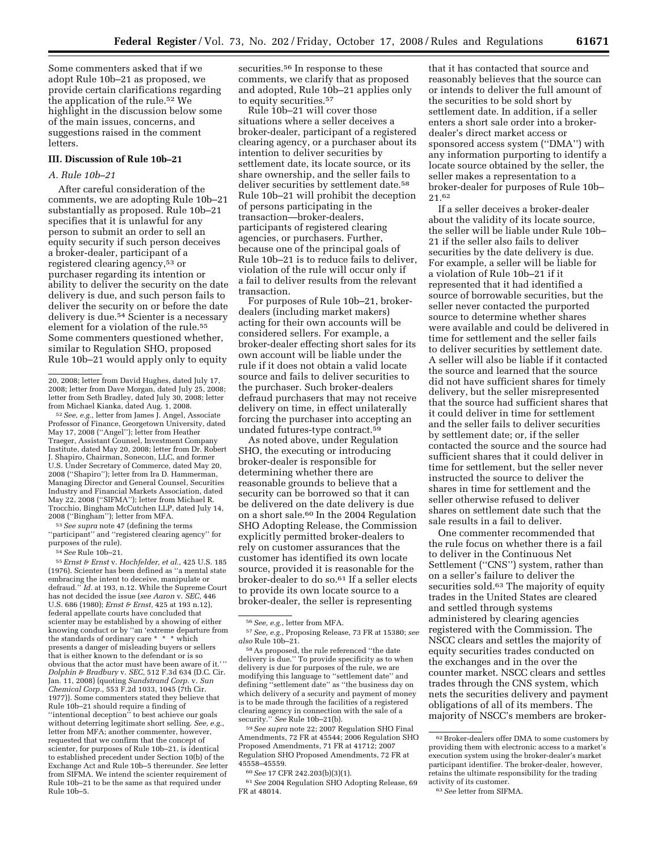Some commenters asked that if we adopt Rule 10b–21 as proposed, we provide certain clarifications regarding the application of the rule.52 We highlight in the discussion below some of the main issues, concerns, and suggestions raised in the comment letters.

## **III. Discussion of Rule 10b–21**

## *A. Rule 10b–21*

After careful consideration of the comments, we are adopting Rule 10b–21 substantially as proposed. Rule 10b–21 specifies that it is unlawful for any person to submit an order to sell an equity security if such person deceives a broker-dealer, participant of a registered clearing agency,53 or purchaser regarding its intention or ability to deliver the security on the date delivery is due, and such person fails to deliver the security on or before the date delivery is due.54 Scienter is a necessary element for a violation of the rule.55 Some commenters questioned whether, similar to Regulation SHO, proposed Rule 10b–21 would apply only to equity

 $^{52} \, See, \, e.g.,$  letter from James J. Angel, Associate Professor of Finance, Georgetown University, dated May 17, 2008 (''Angel''); letter from Heather Traeger, Assistant Counsel, Investment Company Institute, dated May 20, 2008; letter from Dr. Robert J. Shapiro, Chairman, Sonecon, LLC, and former U.S. Under Secretary of Commerce, dated May 20, 2008 (''Shapiro''); letter from Ira D. Hammerman, Managing Director and General Counsel, Securities Industry and Financial Markets Association, dated May 22, 2008 (''SIFMA''); letter from Michael R. Trocchio, Bingham McCutchen LLP, dated July 14, 2008 (''Bingham''); letter from MFA.

53*See supra* note 47 (defining the terms ''participant'' and ''registered clearing agency'' for purposes of the rule).

54*See* Rule 10b–21.

55*Ernst & Ernst* v. *Hochfelder, et al.,* 425 U.S. 185 (1976). Scienter has been defined as ''a mental state embracing the intent to deceive, manipulate or defraud.'' *Id.* at 193, n.12. While the Supreme Court has not decided the issue (*see Aaron* v. *SEC,* 446 U.S. 686 (1980); *Ernst & Ernst,* 425 at 193 n.12), federal appellate courts have concluded that scienter may be established by a showing of either knowing conduct or by ''an 'extreme departure from the standards of ordinary care \* \* \* which presents a danger of misleading buyers or sellers that is either known to the defendant or is so obvious that the actor must have been aware of it.' '' *Dolphin & Bradbury* v. *SEC,* 512 F.3d 634 (D.C. Cir. Jan. 11, 2008) (quoting *Sundstrand Corp.* v. *Sun Chemical Corp.,* 553 F.2d 1033, 1045 (7th Cir. 1977)). Some commenters stated they believe that Rule 10b–21 should require a finding of ''intentional deception'' to best achieve our goals without deterring legitimate short selling. *See, e.g.*, letter from MFA; another commenter, however, requested that we confirm that the concept of scienter, for purposes of Rule 10b–21, is identical to established precedent under Section 10(b) of the Exchange Act and Rule 10b–5 thereunder. *See* letter from SIFMA. We intend the scienter requirement of Rule 10b–21 to be the same as that required under Rule 10b–5.

securities.<sup>56</sup> In response to these comments, we clarify that as proposed and adopted, Rule 10b–21 applies only to equity securities.57

Rule 10b–21 will cover those situations where a seller deceives a broker-dealer, participant of a registered clearing agency, or a purchaser about its intention to deliver securities by settlement date, its locate source, or its share ownership, and the seller fails to deliver securities by settlement date.<sup>58</sup> Rule 10b–21 will prohibit the deception of persons participating in the transaction—broker-dealers, participants of registered clearing agencies, or purchasers. Further, because one of the principal goals of Rule 10b–21 is to reduce fails to deliver, violation of the rule will occur only if a fail to deliver results from the relevant transaction.

For purposes of Rule 10b–21, brokerdealers (including market makers) acting for their own accounts will be considered sellers. For example, a broker-dealer effecting short sales for its own account will be liable under the rule if it does not obtain a valid locate source and fails to deliver securities to the purchaser. Such broker-dealers defraud purchasers that may not receive delivery on time, in effect unilaterally forcing the purchaser into accepting an undated futures-type contract.59

As noted above, under Regulation SHO, the executing or introducing broker-dealer is responsible for determining whether there are reasonable grounds to believe that a security can be borrowed so that it can be delivered on the date delivery is due on a short sale.60 In the 2004 Regulation SHO Adopting Release, the Commission explicitly permitted broker-dealers to rely on customer assurances that the customer has identified its own locate source, provided it is reasonable for the broker-dealer to do so.61 If a seller elects to provide its own locate source to a broker-dealer, the seller is representing

59*See supra* note 22; 2007 Regulation SHO Final Amendments, 72 FR at 45544; 2006 Regulation SHO Proposed Amendments, 71 FR at 41712; 2007 Regulation SHO Proposed Amendments, 72 FR at 45558–45559.

60*See* 17 CFR 242.203(b)(3)(1).

61*See* 2004 Regulation SHO Adopting Release, 69 FR at 48014.

that it has contacted that source and reasonably believes that the source can or intends to deliver the full amount of the securities to be sold short by settlement date. In addition, if a seller enters a short sale order into a brokerdealer's direct market access or sponsored access system (''DMA'') with any information purporting to identify a locate source obtained by the seller, the seller makes a representation to a broker-dealer for purposes of Rule 10b– 21.62

If a seller deceives a broker-dealer about the validity of its locate source, the seller will be liable under Rule 10b– 21 if the seller also fails to deliver securities by the date delivery is due. For example, a seller will be liable for a violation of Rule 10b–21 if it represented that it had identified a source of borrowable securities, but the seller never contacted the purported source to determine whether shares were available and could be delivered in time for settlement and the seller fails to deliver securities by settlement date. A seller will also be liable if it contacted the source and learned that the source did not have sufficient shares for timely delivery, but the seller misrepresented that the source had sufficient shares that it could deliver in time for settlement and the seller fails to deliver securities by settlement date; or, if the seller contacted the source and the source had sufficient shares that it could deliver in time for settlement, but the seller never instructed the source to deliver the shares in time for settlement and the seller otherwise refused to deliver shares on settlement date such that the sale results in a fail to deliver.

One commenter recommended that the rule focus on whether there is a fail to deliver in the Continuous Net Settlement ("CNS") system, rather than on a seller's failure to deliver the securities sold.<sup>63</sup> The majority of equity trades in the United States are cleared and settled through systems administered by clearing agencies registered with the Commission. The NSCC clears and settles the majority of equity securities trades conducted on the exchanges and in the over the counter market. NSCC clears and settles trades through the CNS system, which nets the securities delivery and payment obligations of all of its members. The majority of NSCC's members are broker-

<sup>20, 2008;</sup> letter from David Hughes, dated July 17, 2008; letter from Dave Morgan, dated July 25, 2008; letter from Seth Bradley, dated July 30, 2008; letter

<sup>56</sup>*See, e.g.*, letter from MFA.

<sup>57</sup>*See, e.g.*, Proposing Release, 73 FR at 15380; *see also* Rule 10b–21.

<sup>58</sup>As proposed, the rule referenced ''the date delivery is due.'' To provide specificity as to when delivery is due for purposes of the rule, we are modifying this language to ''settlement date'' and defining ''settlement date'' as ''the business day on which delivery of a security and payment of money is to be made through the facilities of a registered clearing agency in connection with the sale of a security.'' *See* Rule 10b–21(b).

<sup>62</sup>Broker-dealers offer DMA to some customers by providing them with electronic access to a market's execution system using the broker-dealer's market participant identifier. The broker-dealer, however, retains the ultimate responsibility for the trading activity of its customer.

<sup>63</sup>*See* letter from SIFMA.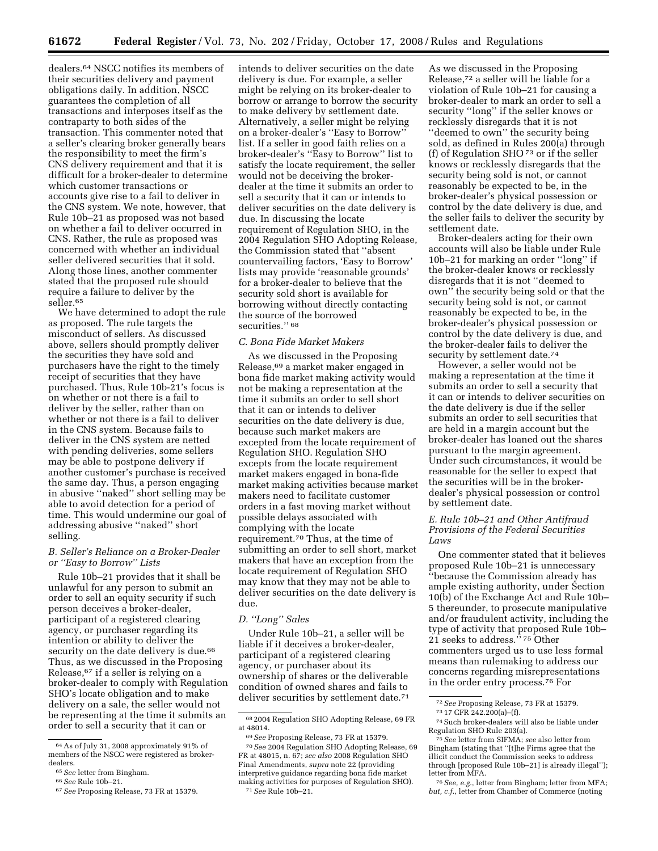dealers.64 NSCC notifies its members of their securities delivery and payment obligations daily. In addition, NSCC guarantees the completion of all transactions and interposes itself as the contraparty to both sides of the transaction. This commenter noted that a seller's clearing broker generally bears the responsibility to meet the firm's CNS delivery requirement and that it is difficult for a broker-dealer to determine which customer transactions or accounts give rise to a fail to deliver in the CNS system. We note, however, that Rule 10b–21 as proposed was not based on whether a fail to deliver occurred in CNS. Rather, the rule as proposed was concerned with whether an individual seller delivered securities that it sold. Along those lines, another commenter stated that the proposed rule should require a failure to deliver by the seller.65

We have determined to adopt the rule as proposed. The rule targets the misconduct of sellers. As discussed above, sellers should promptly deliver the securities they have sold and purchasers have the right to the timely receipt of securities that they have purchased. Thus, Rule 10b-21's focus is on whether or not there is a fail to deliver by the seller, rather than on whether or not there is a fail to deliver in the CNS system. Because fails to deliver in the CNS system are netted with pending deliveries, some sellers may be able to postpone delivery if another customer's purchase is received the same day. Thus, a person engaging in abusive ''naked'' short selling may be able to avoid detection for a period of time. This would undermine our goal of addressing abusive ''naked'' short selling.

### *B. Seller's Reliance on a Broker-Dealer or ''Easy to Borrow'' Lists*

Rule 10b–21 provides that it shall be unlawful for any person to submit an order to sell an equity security if such person deceives a broker-dealer, participant of a registered clearing agency, or purchaser regarding its intention or ability to deliver the security on the date delivery is due.<sup>66</sup> Thus, as we discussed in the Proposing Release,67 if a seller is relying on a broker-dealer to comply with Regulation SHO's locate obligation and to make delivery on a sale, the seller would not be representing at the time it submits an order to sell a security that it can or

intends to deliver securities on the date delivery is due. For example, a seller might be relying on its broker-dealer to borrow or arrange to borrow the security to make delivery by settlement date. Alternatively, a seller might be relying on a broker-dealer's ''Easy to Borrow'' list. If a seller in good faith relies on a broker-dealer's ''Easy to Borrow'' list to satisfy the locate requirement, the seller would not be deceiving the brokerdealer at the time it submits an order to sell a security that it can or intends to deliver securities on the date delivery is due. In discussing the locate requirement of Regulation SHO, in the 2004 Regulation SHO Adopting Release, the Commission stated that ''absent countervailing factors, 'Easy to Borrow' lists may provide 'reasonable grounds' for a broker-dealer to believe that the security sold short is available for borrowing without directly contacting the source of the borrowed securities."<sup>68</sup>

#### *C. Bona Fide Market Makers*

As we discussed in the Proposing Release,69 a market maker engaged in bona fide market making activity would not be making a representation at the time it submits an order to sell short that it can or intends to deliver securities on the date delivery is due, because such market makers are excepted from the locate requirement of Regulation SHO. Regulation SHO excepts from the locate requirement market makers engaged in bona-fide market making activities because market makers need to facilitate customer orders in a fast moving market without possible delays associated with complying with the locate requirement.70 Thus, at the time of submitting an order to sell short, market makers that have an exception from the locate requirement of Regulation SHO may know that they may not be able to deliver securities on the date delivery is due.

## *D. ''Long'' Sales*

Under Rule 10b–21, a seller will be liable if it deceives a broker-dealer, participant of a registered clearing agency, or purchaser about its ownership of shares or the deliverable condition of owned shares and fails to deliver securities by settlement date.71

As we discussed in the Proposing Release,72 a seller will be liable for a violation of Rule 10b–21 for causing a broker-dealer to mark an order to sell a security ''long'' if the seller knows or recklessly disregards that it is not ''deemed to own'' the security being sold, as defined in Rules 200(a) through (f) of Regulation SHO 73 or if the seller knows or recklessly disregards that the security being sold is not, or cannot reasonably be expected to be, in the broker-dealer's physical possession or control by the date delivery is due, and the seller fails to deliver the security by settlement date.

Broker-dealers acting for their own accounts will also be liable under Rule 10b–21 for marking an order ''long'' if the broker-dealer knows or recklessly disregards that it is not ''deemed to own'' the security being sold or that the security being sold is not, or cannot reasonably be expected to be, in the broker-dealer's physical possession or control by the date delivery is due, and the broker-dealer fails to deliver the security by settlement date.<sup>74</sup>

However, a seller would not be making a representation at the time it submits an order to sell a security that it can or intends to deliver securities on the date delivery is due if the seller submits an order to sell securities that are held in a margin account but the broker-dealer has loaned out the shares pursuant to the margin agreement. Under such circumstances, it would be reasonable for the seller to expect that the securities will be in the brokerdealer's physical possession or control by settlement date.

## *E. Rule 10b–21 and Other Antifraud Provisions of the Federal Securities Laws*

One commenter stated that it believes proposed Rule 10b–21 is unnecessary ''because the Commission already has ample existing authority, under Section 10(b) of the Exchange Act and Rule 10b– 5 thereunder, to prosecute manipulative and/or fraudulent activity, including the type of activity that proposed Rule 10b– 21 seeks to address."<sup>75</sup> Other commenters urged us to use less formal means than rulemaking to address our concerns regarding misrepresentations in the order entry process.76 For

<sup>64</sup>As of July 31, 2008 approximately 91% of members of the NSCC were registered as broker-

dealers. 65*See* letter from Bingham. 66*See* Rule 10b–21. 67*See* Proposing Release, 73 FR at 15379.

<sup>68</sup> 2004 Regulation SHO Adopting Release, 69 FR at 48014.

<sup>69</sup>*See* Proposing Release, 73 FR at 15379.

<sup>70</sup>*See* 2004 Regulation SHO Adopting Release, 69 FR at 48015, n. 67; *see also* 2008 Regulation SHO Final Amendments, *supra* note 22 (providing interpretive guidance regarding bona fide market making activities for purposes of Regulation SHO). 71*See* Rule 10b–21.

<sup>&</sup>lt;sup>72</sup> See Proposing Release, 73 FR at 15379.<br><sup>73</sup> 17 CFR 242.200(a)–(f).<br><sup>74</sup> Such broker-dealers will also be liable under<br>Regulation SHO Rule 203(a).

<sup>&</sup>lt;sup>75</sup> See letter from SIFMA; see also letter from Bingham (stating that ''[t]he Firms agree that the illicit conduct the Commission seeks to address through [proposed Rule 10b–21] is already illegal'');

<sup>&</sup>lt;sup>76</sup> See, e.g., letter from Bingham; letter from MFA; *but, c.f.*, letter from Chamber of Commerce (noting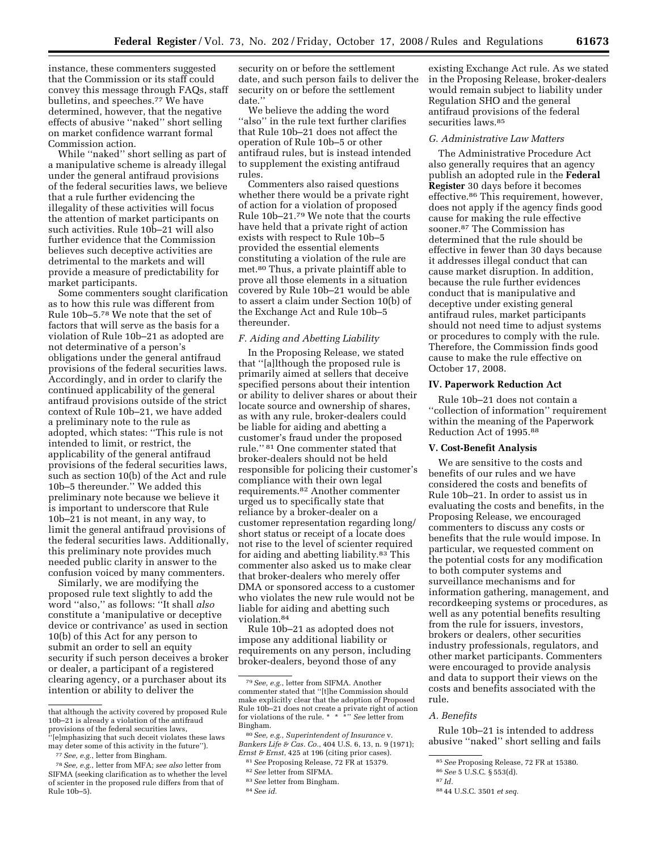instance, these commenters suggested that the Commission or its staff could convey this message through FAQs, staff bulletins, and speeches.77 We have determined, however, that the negative effects of abusive ''naked'' short selling on market confidence warrant formal Commission action.

While ''naked'' short selling as part of a manipulative scheme is already illegal under the general antifraud provisions of the federal securities laws, we believe that a rule further evidencing the illegality of these activities will focus the attention of market participants on such activities. Rule 10b–21 will also further evidence that the Commission believes such deceptive activities are detrimental to the markets and will provide a measure of predictability for market participants.

Some commenters sought clarification as to how this rule was different from Rule 10b–5.78 We note that the set of factors that will serve as the basis for a violation of Rule 10b–21 as adopted are not determinative of a person's obligations under the general antifraud provisions of the federal securities laws. Accordingly, and in order to clarify the continued applicability of the general antifraud provisions outside of the strict context of Rule 10b–21, we have added a preliminary note to the rule as adopted, which states: ''This rule is not intended to limit, or restrict, the applicability of the general antifraud provisions of the federal securities laws, such as section 10(b) of the Act and rule 10b–5 thereunder.'' We added this preliminary note because we believe it is important to underscore that Rule 10b–21 is not meant, in any way, to limit the general antifraud provisions of the federal securities laws. Additionally, this preliminary note provides much needed public clarity in answer to the confusion voiced by many commenters.

Similarly, we are modifying the proposed rule text slightly to add the word ''also,'' as follows: ''It shall *also*  constitute a 'manipulative or deceptive device or contrivance' as used in section 10(b) of this Act for any person to submit an order to sell an equity security if such person deceives a broker or dealer, a participant of a registered clearing agency, or a purchaser about its intention or ability to deliver the

security on or before the settlement date, and such person fails to deliver the security on or before the settlement date.''

We believe the adding the word ''also'' in the rule text further clarifies that Rule 10b–21 does not affect the operation of Rule 10b–5 or other antifraud rules, but is instead intended to supplement the existing antifraud rules.

Commenters also raised questions whether there would be a private right of action for a violation of proposed Rule 10b–21.79 We note that the courts have held that a private right of action exists with respect to Rule 10b–5 provided the essential elements constituting a violation of the rule are met.80 Thus, a private plaintiff able to prove all those elements in a situation covered by Rule 10b–21 would be able to assert a claim under Section 10(b) of the Exchange Act and Rule 10b–5 thereunder.

# *F. Aiding and Abetting Liability*

In the Proposing Release, we stated that ''[a]lthough the proposed rule is primarily aimed at sellers that deceive specified persons about their intention or ability to deliver shares or about their locate source and ownership of shares, as with any rule, broker-dealers could be liable for aiding and abetting a customer's fraud under the proposed rule.'' 81 One commenter stated that broker-dealers should not be held responsible for policing their customer's compliance with their own legal requirements.82 Another commenter urged us to specifically state that reliance by a broker-dealer on a customer representation regarding long/ short status or receipt of a locate does not rise to the level of scienter required for aiding and abetting liability.83 This commenter also asked us to make clear that broker-dealers who merely offer DMA or sponsored access to a customer who violates the new rule would not be liable for aiding and abetting such violation.84

Rule 10b–21 as adopted does not impose any additional liability or requirements on any person, including broker-dealers, beyond those of any

82*See* letter from SIFMA.

existing Exchange Act rule. As we stated in the Proposing Release, broker-dealers would remain subject to liability under Regulation SHO and the general antifraud provisions of the federal securities laws.<sup>85</sup>

## *G. Administrative Law Matters*

The Administrative Procedure Act also generally requires that an agency publish an adopted rule in the **Federal Register** 30 days before it becomes effective.86 This requirement, however, does not apply if the agency finds good cause for making the rule effective sooner.87 The Commission has determined that the rule should be effective in fewer than 30 days because it addresses illegal conduct that can cause market disruption. In addition, because the rule further evidences conduct that is manipulative and deceptive under existing general antifraud rules, market participants should not need time to adjust systems or procedures to comply with the rule. Therefore, the Commission finds good cause to make the rule effective on October 17, 2008.

#### **IV. Paperwork Reduction Act**

Rule 10b–21 does not contain a ''collection of information'' requirement within the meaning of the Paperwork Reduction Act of 1995.88

## **V. Cost-Benefit Analysis**

We are sensitive to the costs and benefits of our rules and we have considered the costs and benefits of Rule 10b–21. In order to assist us in evaluating the costs and benefits, in the Proposing Release, we encouraged commenters to discuss any costs or benefits that the rule would impose. In particular, we requested comment on the potential costs for any modification to both computer systems and surveillance mechanisms and for information gathering, management, and recordkeeping systems or procedures, as well as any potential benefits resulting from the rule for issuers, investors, brokers or dealers, other securities industry professionals, regulators, and other market participants. Commenters were encouraged to provide analysis and data to support their views on the costs and benefits associated with the rule.

### *A. Benefits*

Rule 10b–21 is intended to address abusive ''naked'' short selling and fails

that although the activity covered by proposed Rule 10b–21 is already a violation of the antifraud provisions of the federal securities laws,

<sup>&#</sup>x27;[e]mphasizing that such deceit violates these laws may deter some of this activity in the future'').

<sup>77</sup>*See, e.g.*, letter from Bingham.

<sup>78</sup>*See, e.g.*, letter from MFA; *see also* letter from SIFMA (seeking clarification as to whether the level of scienter in the proposed rule differs from that of Rule 10b–5).

<sup>79</sup>*See, e.g.*, letter from SIFMA. Another commenter stated that ''[t]he Commission should make explicitly clear that the adoption of Proposed Rule 10b–21 does not create a private right of action for violations of the rule. \* \* \*'' *See* letter from Bingham.

<sup>80</sup>*See, e.g., Superintendent of Insurance* v. *Bankers Life & Cas. Co.*, 404 U.S. 6, 13, n. 9 (1971); *Ernst & Ernst*, 425 at 196 (citing prior cases).

<sup>81</sup>*See* Proposing Release, 72 FR at 15379.

<sup>83</sup>*See* letter from Bingham.

<sup>84</sup>*See id.* 

<sup>85</sup>*See* Proposing Release, 72 FR at 15380.

<sup>86</sup>*See* 5 U.S.C. § 553(d).

<sup>87</sup> *Id.* 

<sup>88</sup> 44 U.S.C. 3501 *et seq.*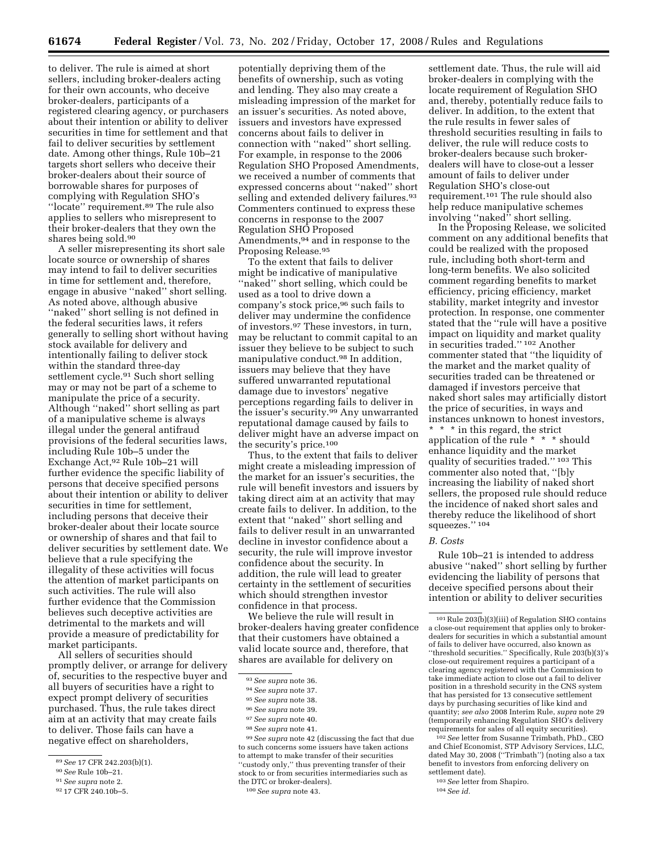to deliver. The rule is aimed at short sellers, including broker-dealers acting for their own accounts, who deceive broker-dealers, participants of a registered clearing agency, or purchasers about their intention or ability to deliver securities in time for settlement and that fail to deliver securities by settlement date. Among other things, Rule 10b–21 targets short sellers who deceive their broker-dealers about their source of borrowable shares for purposes of complying with Regulation SHO's ''locate'' requirement.89 The rule also applies to sellers who misrepresent to their broker-dealers that they own the shares being sold.90

A seller misrepresenting its short sale locate source or ownership of shares may intend to fail to deliver securities in time for settlement and, therefore, engage in abusive ''naked'' short selling. As noted above, although abusive "naked" short selling is not defined in the federal securities laws, it refers generally to selling short without having stock available for delivery and intentionally failing to deliver stock within the standard three-day settlement cycle.91 Such short selling may or may not be part of a scheme to manipulate the price of a security. Although ''naked'' short selling as part of a manipulative scheme is always illegal under the general antifraud provisions of the federal securities laws, including Rule 10b–5 under the Exchange Act,92 Rule 10b–21 will further evidence the specific liability of persons that deceive specified persons about their intention or ability to deliver securities in time for settlement, including persons that deceive their broker-dealer about their locate source or ownership of shares and that fail to deliver securities by settlement date. We believe that a rule specifying the illegality of these activities will focus the attention of market participants on such activities. The rule will also further evidence that the Commission believes such deceptive activities are detrimental to the markets and will provide a measure of predictability for market participants.

All sellers of securities should promptly deliver, or arrange for delivery of, securities to the respective buyer and all buyers of securities have a right to expect prompt delivery of securities purchased. Thus, the rule takes direct aim at an activity that may create fails to deliver. Those fails can have a negative effect on shareholders,

92 17 CFR 240.10b–5.

potentially depriving them of the benefits of ownership, such as voting and lending. They also may create a misleading impression of the market for an issuer's securities. As noted above, issuers and investors have expressed concerns about fails to deliver in connection with ''naked'' short selling. For example, in response to the 2006 Regulation SHO Proposed Amendments, we received a number of comments that expressed concerns about ''naked'' short selling and extended delivery failures.<sup>93</sup> Commenters continued to express these concerns in response to the 2007 Regulation SHO Proposed Amendments,94 and in response to the Proposing Release.95

To the extent that fails to deliver might be indicative of manipulative ''naked'' short selling, which could be used as a tool to drive down a company's stock price,96 such fails to deliver may undermine the confidence of investors.97 These investors, in turn, may be reluctant to commit capital to an issuer they believe to be subject to such manipulative conduct.98 In addition, issuers may believe that they have suffered unwarranted reputational damage due to investors' negative perceptions regarding fails to deliver in the issuer's security.<sup>99</sup> Any unwarranted reputational damage caused by fails to deliver might have an adverse impact on the security's price.100

Thus, to the extent that fails to deliver might create a misleading impression of the market for an issuer's securities, the rule will benefit investors and issuers by taking direct aim at an activity that may create fails to deliver. In addition, to the extent that ''naked'' short selling and fails to deliver result in an unwarranted decline in investor confidence about a security, the rule will improve investor confidence about the security. In addition, the rule will lead to greater certainty in the settlement of securities which should strengthen investor confidence in that process.

We believe the rule will result in broker-dealers having greater confidence that their customers have obtained a valid locate source and, therefore, that shares are available for delivery on

99*See supra* note 42 (discussing the fact that due to such concerns some issuers have taken actions to attempt to make transfer of their securities ''custody only,'' thus preventing transfer of their stock to or from securities intermediaries such as the DTC or broker-dealers).

settlement date. Thus, the rule will aid broker-dealers in complying with the locate requirement of Regulation SHO and, thereby, potentially reduce fails to deliver. In addition, to the extent that the rule results in fewer sales of threshold securities resulting in fails to deliver, the rule will reduce costs to broker-dealers because such brokerdealers will have to close-out a lesser amount of fails to deliver under Regulation SHO's close-out requirement.101 The rule should also help reduce manipulative schemes involving ''naked'' short selling.

In the Proposing Release, we solicited comment on any additional benefits that could be realized with the proposed rule, including both short-term and long-term benefits. We also solicited comment regarding benefits to market efficiency, pricing efficiency, market stability, market integrity and investor protection. In response, one commenter stated that the ''rule will have a positive impact on liquidity and market quality in securities traded.'' 102 Another commenter stated that ''the liquidity of the market and the market quality of securities traded can be threatened or damaged if investors perceive that naked short sales may artificially distort the price of securities, in ways and instances unknown to honest investors,

\* \* \* in this regard, the strict application of the rule \* \* \* should enhance liquidity and the market quality of securities traded.'' 103 This commenter also noted that, ''[b]y increasing the liability of naked short sellers, the proposed rule should reduce the incidence of naked short sales and thereby reduce the likelihood of short squeezes." 104

### *B. Costs*

Rule 10b–21 is intended to address abusive ''naked'' short selling by further evidencing the liability of persons that deceive specified persons about their intention or ability to deliver securities

102*See* letter from Susanne Trimbath, PhD., CEO and Chief Economist, STP Advisory Services, LLC, dated May 30, 2008 (''Trimbath'') (noting also a tax benefit to investors from enforcing delivery on settlement date).

<sup>89</sup>*See* 17 CFR 242.203(b)(1).

<sup>90</sup>*See* Rule 10b–21.

<sup>91</sup>*See supra* note 2.

<sup>93</sup>*See supra* note 36.

<sup>94</sup>*See supra* note 37.

<sup>95</sup>*See supra* note 38.

<sup>96</sup>*See supra* note 39.

<sup>97</sup>*See supra* note 40.

<sup>98</sup>*See supra* note 41.

<sup>100</sup>*See supra* note 43.

 $^{101}\rm{Rule}$  203(b)(3)(iii) of Regulation SHO contains a close-out requirement that applies only to brokerdealers for securities in which a substantial amount of fails to deliver have occurred, also known as ''threshold securities.'' Specifically, Rule 203(b)(3)'s close-out requirement requires a participant of a clearing agency registered with the Commission to take immediate action to close out a fail to deliver position in a threshold security in the CNS system that has persisted for 13 consecutive settlement days by purchasing securities of like kind and quantity; *see also* 2008 Interim Rule, *supra* note 29 (temporarily enhancing Regulation SHO's delivery requirements for sales of all equity securities).

<sup>103</sup>*See* letter from Shapiro.

<sup>104</sup>*See id.*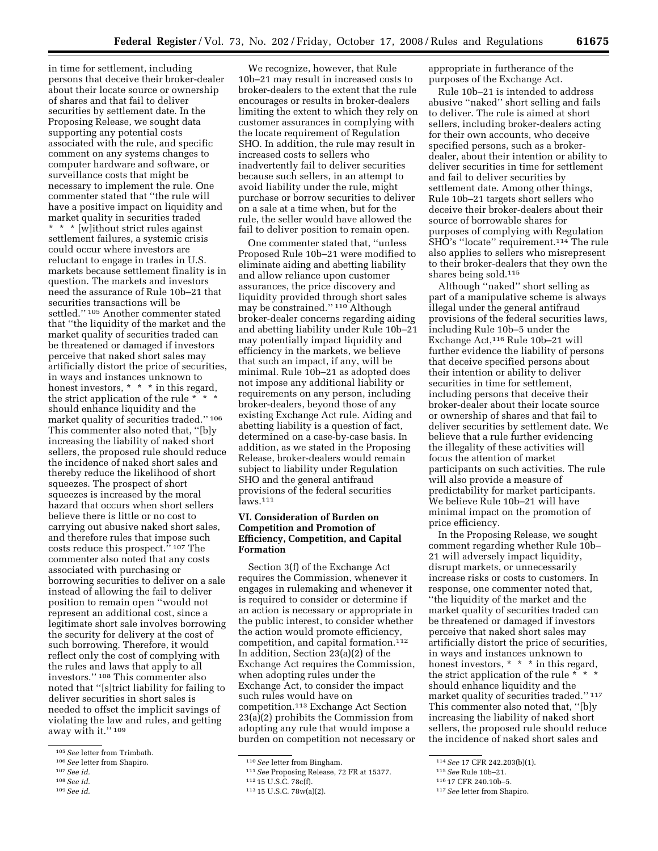in time for settlement, including persons that deceive their broker-dealer about their locate source or ownership of shares and that fail to deliver securities by settlement date. In the Proposing Release, we sought data supporting any potential costs associated with the rule, and specific comment on any systems changes to computer hardware and software, or surveillance costs that might be necessary to implement the rule. One commenter stated that ''the rule will have a positive impact on liquidity and market quality in securities traded \* \* \* [w]ithout strict rules against settlement failures, a systemic crisis could occur where investors are reluctant to engage in trades in U.S. markets because settlement finality is in question. The markets and investors need the assurance of Rule 10b–21 that securities transactions will be settled.'' 105 Another commenter stated that ''the liquidity of the market and the market quality of securities traded can be threatened or damaged if investors perceive that naked short sales may artificially distort the price of securities, in ways and instances unknown to honest investors, \* \* \* in this regard, the strict application of the rule \* \* \* should enhance liquidity and the market quality of securities traded.'' 106 This commenter also noted that, ''[b]y increasing the liability of naked short sellers, the proposed rule should reduce the incidence of naked short sales and thereby reduce the likelihood of short squeezes. The prospect of short squeezes is increased by the moral hazard that occurs when short sellers believe there is little or no cost to carrying out abusive naked short sales, and therefore rules that impose such costs reduce this prospect.<sup>5</sup> <sup>107</sup> The commenter also noted that any costs associated with purchasing or borrowing securities to deliver on a sale instead of allowing the fail to deliver position to remain open ''would not represent an additional cost, since a legitimate short sale involves borrowing the security for delivery at the cost of such borrowing. Therefore, it would reflect only the cost of complying with the rules and laws that apply to all investors.'' 108 This commenter also noted that ''[s]trict liability for failing to deliver securities in short sales is needed to offset the implicit savings of violating the law and rules, and getting away with it.'' 109

We recognize, however, that Rule 10b–21 may result in increased costs to broker-dealers to the extent that the rule encourages or results in broker-dealers limiting the extent to which they rely on customer assurances in complying with the locate requirement of Regulation SHO. In addition, the rule may result in increased costs to sellers who inadvertently fail to deliver securities because such sellers, in an attempt to avoid liability under the rule, might purchase or borrow securities to deliver on a sale at a time when, but for the rule, the seller would have allowed the fail to deliver position to remain open.

One commenter stated that, ''unless Proposed Rule 10b–21 were modified to eliminate aiding and abetting liability and allow reliance upon customer assurances, the price discovery and liquidity provided through short sales may be constrained.'' 110 Although broker-dealer concerns regarding aiding and abetting liability under Rule 10b–21 may potentially impact liquidity and efficiency in the markets, we believe that such an impact, if any, will be minimal. Rule 10b–21 as adopted does not impose any additional liability or requirements on any person, including broker-dealers, beyond those of any existing Exchange Act rule. Aiding and abetting liability is a question of fact, determined on a case-by-case basis. In addition, as we stated in the Proposing Release, broker-dealers would remain subject to liability under Regulation SHO and the general antifraud provisions of the federal securities laws.111

# **VI. Consideration of Burden on Competition and Promotion of Efficiency, Competition, and Capital Formation**

Section 3(f) of the Exchange Act requires the Commission, whenever it engages in rulemaking and whenever it is required to consider or determine if an action is necessary or appropriate in the public interest, to consider whether the action would promote efficiency, competition, and capital formation.<sup>112</sup> In addition, Section 23(a)(2) of the Exchange Act requires the Commission, when adopting rules under the Exchange Act, to consider the impact such rules would have on competition.113 Exchange Act Section 23(a)(2) prohibits the Commission from adopting any rule that would impose a burden on competition not necessary or appropriate in furtherance of the purposes of the Exchange Act.

Rule 10b–21 is intended to address abusive ''naked'' short selling and fails to deliver. The rule is aimed at short sellers, including broker-dealers acting for their own accounts, who deceive specified persons, such as a brokerdealer, about their intention or ability to deliver securities in time for settlement and fail to deliver securities by settlement date. Among other things, Rule 10b–21 targets short sellers who deceive their broker-dealers about their source of borrowable shares for purposes of complying with Regulation SHO's ''locate'' requirement.114 The rule also applies to sellers who misrepresent to their broker-dealers that they own the shares being sold.115

Although ''naked'' short selling as part of a manipulative scheme is always illegal under the general antifraud provisions of the federal securities laws, including Rule 10b–5 under the Exchange Act,116 Rule 10b–21 will further evidence the liability of persons that deceive specified persons about their intention or ability to deliver securities in time for settlement, including persons that deceive their broker-dealer about their locate source or ownership of shares and that fail to deliver securities by settlement date. We believe that a rule further evidencing the illegality of these activities will focus the attention of market participants on such activities. The rule will also provide a measure of predictability for market participants. We believe Rule 10b–21 will have minimal impact on the promotion of price efficiency.

In the Proposing Release, we sought comment regarding whether Rule 10b– 21 will adversely impact liquidity, disrupt markets, or unnecessarily increase risks or costs to customers. In response, one commenter noted that, ''the liquidity of the market and the market quality of securities traded can be threatened or damaged if investors perceive that naked short sales may artificially distort the price of securities, in ways and instances unknown to honest investors, \* \* \* in this regard. the strict application of the rule \* \* \* should enhance liquidity and the market quality of securities traded.'' 117 This commenter also noted that, ''[b]y increasing the liability of naked short sellers, the proposed rule should reduce the incidence of naked short sales and

<sup>105</sup>*See* letter from Trimbath.

<sup>106</sup>*See* letter from Shapiro.

<sup>107</sup>*See id.* 

<sup>108</sup>*See id.* 

<sup>109</sup>*See id.* 

<sup>110</sup>*See* letter from Bingham.

<sup>111</sup>*See* Proposing Release, 72 FR at 15377.

<sup>112</sup> 15 U.S.C. 78c(f).

<sup>113</sup> 15 U.S.C. 78w(a)(2).

<sup>114</sup>*See* 17 CFR 242.203(b)(1).

<sup>115</sup>*See* Rule 10b–21.

<sup>116</sup> 17 CFR 240.10b–5.

<sup>117</sup>*See* letter from Shapiro.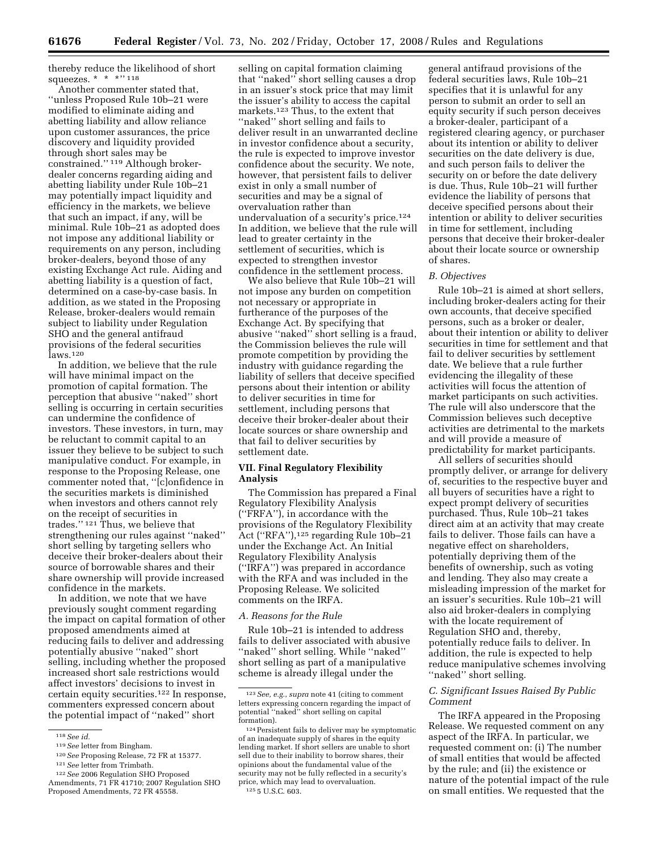thereby reduce the likelihood of short squeezes. \* \* \* \* '' 118

Another commenter stated that, ''unless Proposed Rule 10b–21 were modified to eliminate aiding and abetting liability and allow reliance upon customer assurances, the price discovery and liquidity provided through short sales may be constrained.'' 119 Although brokerdealer concerns regarding aiding and abetting liability under Rule 10b–21 may potentially impact liquidity and efficiency in the markets, we believe that such an impact, if any, will be minimal. Rule 10b–21 as adopted does not impose any additional liability or requirements on any person, including broker-dealers, beyond those of any existing Exchange Act rule. Aiding and abetting liability is a question of fact, determined on a case-by-case basis. In addition, as we stated in the Proposing Release, broker-dealers would remain subject to liability under Regulation SHO and the general antifraud provisions of the federal securities  $\overline{l}$ aws.<sup>120</sup>

In addition, we believe that the rule will have minimal impact on the promotion of capital formation. The perception that abusive ''naked'' short selling is occurring in certain securities can undermine the confidence of investors. These investors, in turn, may be reluctant to commit capital to an issuer they believe to be subject to such manipulative conduct. For example, in response to the Proposing Release, one commenter noted that, ''[c]onfidence in the securities markets is diminished when investors and others cannot rely on the receipt of securities in trades.'' 121 Thus, we believe that strengthening our rules against ''naked'' short selling by targeting sellers who deceive their broker-dealers about their source of borrowable shares and their share ownership will provide increased confidence in the markets.

In addition, we note that we have previously sought comment regarding the impact on capital formation of other proposed amendments aimed at reducing fails to deliver and addressing potentially abusive ''naked'' short selling, including whether the proposed increased short sale restrictions would affect investors' decisions to invest in certain equity securities.122 In response, commenters expressed concern about the potential impact of ''naked'' short

selling on capital formation claiming that ''naked'' short selling causes a drop in an issuer's stock price that may limit the issuer's ability to access the capital markets.123 Thus, to the extent that ''naked'' short selling and fails to deliver result in an unwarranted decline in investor confidence about a security, the rule is expected to improve investor confidence about the security. We note, however, that persistent fails to deliver exist in only a small number of securities and may be a signal of overvaluation rather than undervaluation of a security's price.124 In addition, we believe that the rule will lead to greater certainty in the settlement of securities, which is expected to strengthen investor confidence in the settlement process.

We also believe that Rule 10b–21 will not impose any burden on competition not necessary or appropriate in furtherance of the purposes of the Exchange Act. By specifying that abusive ''naked'' short selling is a fraud, the Commission believes the rule will promote competition by providing the industry with guidance regarding the liability of sellers that deceive specified persons about their intention or ability to deliver securities in time for settlement, including persons that deceive their broker-dealer about their locate sources or share ownership and that fail to deliver securities by settlement date.

## **VII. Final Regulatory Flexibility Analysis**

The Commission has prepared a Final Regulatory Flexibility Analysis (''FRFA''), in accordance with the provisions of the Regulatory Flexibility Act ("RFA"),<sup>125</sup> regarding Rule 10b–21 under the Exchange Act. An Initial Regulatory Flexibility Analysis (''IRFA'') was prepared in accordance with the RFA and was included in the Proposing Release. We solicited comments on the IRFA.

## *A. Reasons for the Rule*

Rule 10b–21 is intended to address fails to deliver associated with abusive ''naked'' short selling. While ''naked'' short selling as part of a manipulative scheme is already illegal under the

general antifraud provisions of the federal securities laws, Rule 10b–21 specifies that it is unlawful for any person to submit an order to sell an equity security if such person deceives a broker-dealer, participant of a registered clearing agency, or purchaser about its intention or ability to deliver securities on the date delivery is due, and such person fails to deliver the security on or before the date delivery is due. Thus, Rule 10b–21 will further evidence the liability of persons that deceive specified persons about their intention or ability to deliver securities in time for settlement, including persons that deceive their broker-dealer about their locate source or ownership of shares.

### *B. Objectives*

Rule 10b–21 is aimed at short sellers, including broker-dealers acting for their own accounts, that deceive specified persons, such as a broker or dealer, about their intention or ability to deliver securities in time for settlement and that fail to deliver securities by settlement date. We believe that a rule further evidencing the illegality of these activities will focus the attention of market participants on such activities. The rule will also underscore that the Commission believes such deceptive activities are detrimental to the markets and will provide a measure of predictability for market participants.

All sellers of securities should promptly deliver, or arrange for delivery of, securities to the respective buyer and all buyers of securities have a right to expect prompt delivery of securities purchased. Thus, Rule 10b–21 takes direct aim at an activity that may create fails to deliver. Those fails can have a negative effect on shareholders, potentially depriving them of the benefits of ownership, such as voting and lending. They also may create a misleading impression of the market for an issuer's securities. Rule 10b–21 will also aid broker-dealers in complying with the locate requirement of Regulation SHO and, thereby, potentially reduce fails to deliver. In addition, the rule is expected to help reduce manipulative schemes involving "naked" short selling.

## *C. Significant Issues Raised By Public Comment*

The IRFA appeared in the Proposing Release. We requested comment on any aspect of the IRFA. In particular, we requested comment on: (i) The number of small entities that would be affected by the rule; and (ii) the existence or nature of the potential impact of the rule on small entities. We requested that the

<sup>118</sup>*See id.* 

<sup>119</sup>*See* letter from Bingham. 120*See* Proposing Release, 72 FR at 15377. 121*See* letter from Trimbath. 122*See* 2006 Regulation SHO Proposed

Amendments, 71 FR 41710; 2007 Regulation SHO Proposed Amendments, 72 FR 45558.

<sup>123</sup>*See, e.g.*, *supra* note 41 (citing to comment letters expressing concern regarding the impact of potential ''naked'' short selling on capital formation).

<sup>124</sup>Persistent fails to deliver may be symptomatic of an inadequate supply of shares in the equity lending market. If short sellers are unable to short sell due to their inability to borrow shares, their opinions about the fundamental value of the security may not be fully reflected in a security's price, which may lead to overvaluation. 125 5 U.S.C. 603.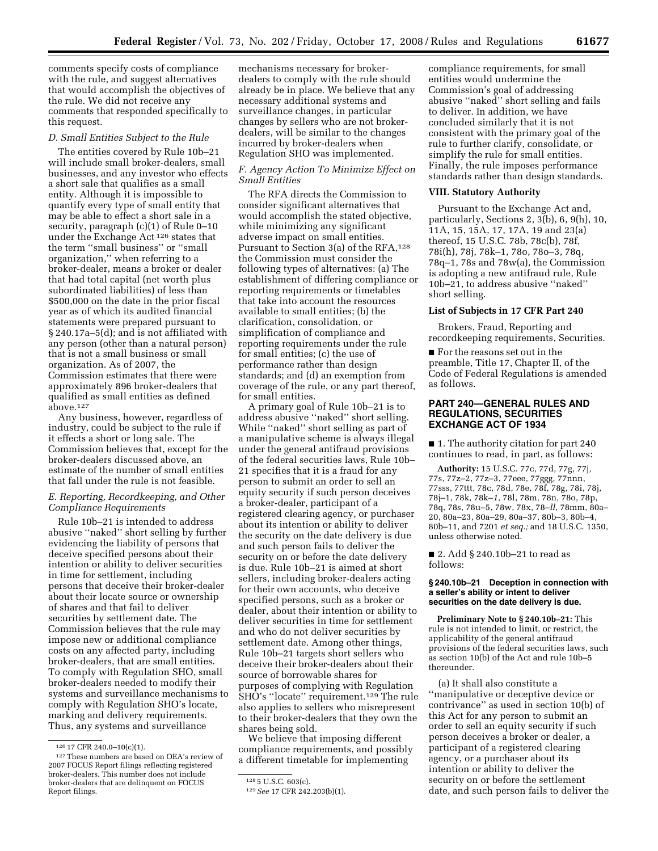comments specify costs of compliance with the rule, and suggest alternatives that would accomplish the objectives of the rule. We did not receive any comments that responded specifically to this request.

## *D. Small Entities Subject to the Rule*

The entities covered by Rule 10b–21 will include small broker-dealers, small businesses, and any investor who effects a short sale that qualifies as a small entity. Although it is impossible to quantify every type of small entity that may be able to effect a short sale in a security, paragraph (c)(1) of Rule 0–10 under the Exchange Act 126 states that the term ''small business'' or ''small organization,'' when referring to a broker-dealer, means a broker or dealer that had total capital (net worth plus subordinated liabilities) of less than \$500,000 on the date in the prior fiscal year as of which its audited financial statements were prepared pursuant to § 240.17a–5(d); and is not affiliated with any person (other than a natural person) that is not a small business or small organization. As of 2007, the Commission estimates that there were approximately 896 broker-dealers that qualified as small entities as defined above.127

Any business, however, regardless of industry, could be subject to the rule if it effects a short or long sale. The Commission believes that, except for the broker-dealers discussed above, an estimate of the number of small entities that fall under the rule is not feasible.

## *E. Reporting, Recordkeeping, and Other Compliance Requirements*

Rule 10b–21 is intended to address abusive ''naked'' short selling by further evidencing the liability of persons that deceive specified persons about their intention or ability to deliver securities in time for settlement, including persons that deceive their broker-dealer about their locate source or ownership of shares and that fail to deliver securities by settlement date. The Commission believes that the rule may impose new or additional compliance costs on any affected party, including broker-dealers, that are small entities. To comply with Regulation SHO, small broker-dealers needed to modify their systems and surveillance mechanisms to comply with Regulation SHO's locate, marking and delivery requirements. Thus, any systems and surveillance

mechanisms necessary for brokerdealers to comply with the rule should already be in place. We believe that any necessary additional systems and surveillance changes, in particular changes by sellers who are not brokerdealers, will be similar to the changes incurred by broker-dealers when Regulation SHO was implemented.

# *F. Agency Action To Minimize Effect on Small Entities*

The RFA directs the Commission to consider significant alternatives that would accomplish the stated objective, while minimizing any significant adverse impact on small entities. Pursuant to Section 3(a) of the RFA,<sup>128</sup> the Commission must consider the following types of alternatives: (a) The establishment of differing compliance or reporting requirements or timetables that take into account the resources available to small entities; (b) the clarification, consolidation, or simplification of compliance and reporting requirements under the rule for small entities; (c) the use of performance rather than design standards; and (d) an exemption from coverage of the rule, or any part thereof, for small entities.

A primary goal of Rule 10b–21 is to address abusive ''naked'' short selling. While ''naked'' short selling as part of a manipulative scheme is always illegal under the general antifraud provisions of the federal securities laws, Rule 10b– 21 specifies that it is a fraud for any person to submit an order to sell an equity security if such person deceives a broker-dealer, participant of a registered clearing agency, or purchaser about its intention or ability to deliver the security on the date delivery is due and such person fails to deliver the security on or before the date delivery is due. Rule 10b–21 is aimed at short sellers, including broker-dealers acting for their own accounts, who deceive specified persons, such as a broker or dealer, about their intention or ability to deliver securities in time for settlement and who do not deliver securities by settlement date. Among other things, Rule 10b–21 targets short sellers who deceive their broker-dealers about their source of borrowable shares for purposes of complying with Regulation SHO's "locate" requirement.<sup>129</sup> The rule also applies to sellers who misrepresent to their broker-dealers that they own the shares being sold.

We believe that imposing different compliance requirements, and possibly a different timetable for implementing

compliance requirements, for small entities would undermine the Commission's goal of addressing abusive ''naked'' short selling and fails to deliver. In addition, we have concluded similarly that it is not consistent with the primary goal of the rule to further clarify, consolidate, or simplify the rule for small entities. Finally, the rule imposes performance standards rather than design standards.

## **VIII. Statutory Authority**

Pursuant to the Exchange Act and, particularly, Sections 2, 3(b), 6, 9(h), 10, 11A, 15, 15A, 17, 17A, 19 and 23(a) thereof, 15 U.S.C. 78b, 78c(b), 78f, 78i(h), 78j, 78k–1, 78o, 78o–3, 78q, 78q–1, 78s and 78w(a), the Commission is adopting a new antifraud rule, Rule 10b–21, to address abusive ''naked'' short selling.

## **List of Subjects in 17 CFR Part 240**

Brokers, Fraud, Reporting and recordkeeping requirements, Securities.

■ For the reasons set out in the preamble, Title 17, Chapter II, of the Code of Federal Regulations is amended as follows.

## **PART 240—GENERAL RULES AND REGULATIONS, SECURITIES EXCHANGE ACT OF 1934**

■ 1. The authority citation for part 240 continues to read, in part, as follows:

**Authority:** 15 U.S.C. 77c, 77d, 77g, 77j, 77s, 77z–2, 77z–3, 77eee, 77ggg, 77nnn, 77sss, 77ttt, 78c, 78d, 78e, 78f, 78g, 78i, 78j, 78j–1, 78k, 78k–*1*, 78l, 78m, 78n, 78o, 78p, 78q, 78s, 78u–5, 78w, 78x, 78–*ll*, 78mm, 80a– 20, 80a–23, 80a–29, 80a–37, 80b–3, 80b–4, 80b–11, and 7201 *et seq.;* and 18 U.S.C. 1350, unless otherwise noted.

■ 2. Add § 240.10b-21 to read as follows:

## **§ 240.10b–21 Deception in connection with a seller's ability or intent to deliver securities on the date delivery is due.**

**Preliminary Note to § 240.10b–21:** This rule is not intended to limit, or restrict, the applicability of the general antifraud provisions of the federal securities laws, such as section 10(b) of the Act and rule 10b–5 thereunder.

(a) It shall also constitute a ''manipulative or deceptive device or contrivance'' as used in section 10(b) of this Act for any person to submit an order to sell an equity security if such person deceives a broker or dealer, a participant of a registered clearing agency, or a purchaser about its intention or ability to deliver the security on or before the settlement date, and such person fails to deliver the

<sup>126</sup> 17 CFR 240.0–10(c)(1).

<sup>127</sup>These numbers are based on OEA's review of 2007 FOCUS Report filings reflecting registered broker-dealers. This number does not include broker-dealers that are delinquent on FOCUS Report filings.

<sup>128</sup> 5 U.S.C. 603(c).

<sup>129</sup>*See* 17 CFR 242.203(b)(1).